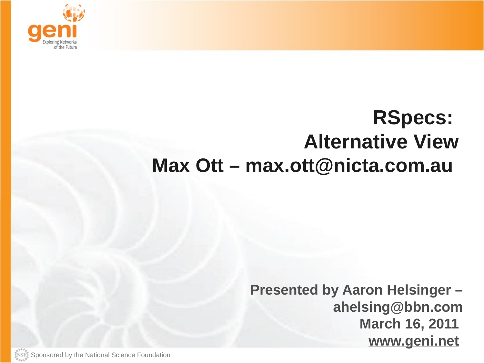

## **RSpecs: Alternative View Max Ott – max.ott@nicta.com.au**

**Presented by Aaron Helsinger – ahelsing@bbn.com March 16, 2011 www.geni.net**

 $\overbrace{\text{SUSF}_{\mathcal{Y}}^*}$  Sponsored by the National Science Foundation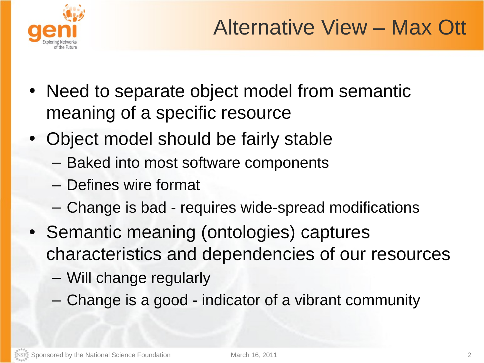

- Need to separate object model from semantic meaning of a specific resource
- Object model should be fairly stable
	- Baked into most software components
	- Defines wire format
	- Change is bad requires wide-spread modifications
- Semantic meaning (ontologies) captures characteristics and dependencies of our resources
	- Will change regularly
	- Change is a good indicator of a vibrant community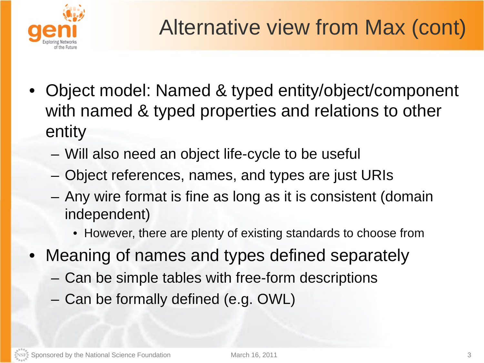

- Object model: Named & typed entity/object/component with named & typed properties and relations to other entity
	- Will also need an object life-cycle to be useful
	- Object references, names, and types are just URIs
	- Any wire format is fine as long as it is consistent (domain independent)
		- However, there are plenty of existing standards to choose from
- Meaning of names and types defined separately
	- Can be simple tables with free-form descriptions
	- Can be formally defined (e.g. OWL)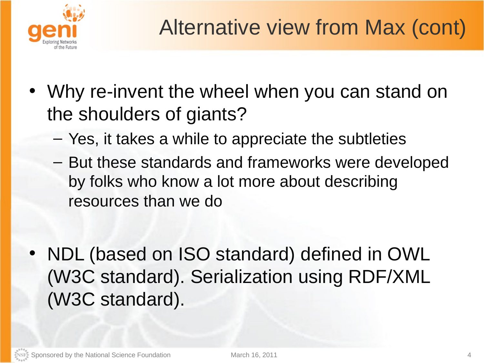

- Why re-invent the wheel when you can stand on the shoulders of giants?
	- Yes, it takes a while to appreciate the subtleties
	- But these standards and frameworks were developed by folks who know a lot more about describing resources than we do
- NDL (based on ISO standard) defined in OWL (W3C standard). Serialization using RDF/XML (W3C standard).